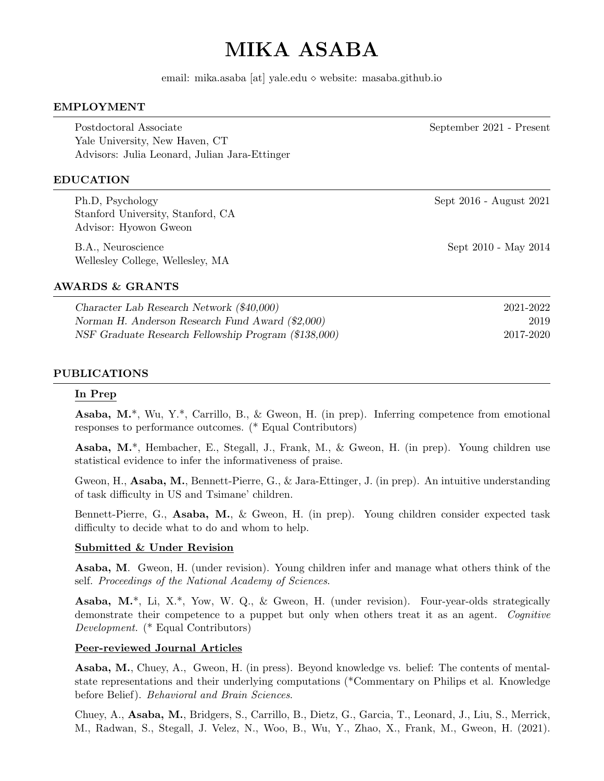# MIKA ASABA

email: mika.asaba [at] yale.edu website: masaba.github.io

#### EMPLOYMENT

Postdoctoral Associate September 2021 - Present Yale University, New Haven, CT Advisors: Julia Leonard, Julian Jara-Ettinger

#### EDUCATION

Ph.D, Psychology Sept 2016 - August 2021 Stanford University, Stanford, CA Advisor: Hyowon Gweon

B.A., Neuroscience Sept 2010 - May 2014 Wellesley College, Wellesley, MA

AWARDS & GRANTS

Character Lab Research Network (\$40,000) 2021-2022 Norman H. Anderson Research Fund Award (\$2,000) 2019 NSF Graduate Research Fellowship Program (\$138,000) 2017-2020

#### PUBLICATIONS

#### In Prep

Asaba, M.\*, Wu, Y.\*, Carrillo, B., & Gweon, H. (in prep). Inferring competence from emotional responses to performance outcomes. (\* Equal Contributors)

Asaba, M.\*, Hembacher, E., Stegall, J., Frank, M., & Gweon, H. (in prep). Young children use statistical evidence to infer the informativeness of praise.

Gweon, H., Asaba, M., Bennett-Pierre, G., & Jara-Ettinger, J. (in prep). An intuitive understanding of task difficulty in US and Tsimane' children.

Bennett-Pierre, G., Asaba, M., & Gweon, H. (in prep). Young children consider expected task difficulty to decide what to do and whom to help.

#### Submitted & Under Revision

Asaba, M. Gweon, H. (under revision). Young children infer and manage what others think of the self. Proceedings of the National Academy of Sciences.

Asaba, M.\*, Li, X.\*, Yow, W. Q., & Gweon, H. (under revision). Four-year-olds strategically demonstrate their competence to a puppet but only when others treat it as an agent. Cognitive Development. (\* Equal Contributors)

#### Peer-reviewed Journal Articles

Asaba, M., Chuey, A., Gweon, H. (in press). Beyond knowledge vs. belief: The contents of mentalstate representations and their underlying computations (\*Commentary on Philips et al. Knowledge before Belief). Behavioral and Brain Sciences.

Chuey, A., Asaba, M., Bridgers, S., Carrillo, B., Dietz, G., Garcia, T., Leonard, J., Liu, S., Merrick, M., Radwan, S., Stegall, J. Velez, N., Woo, B., Wu, Y., Zhao, X., Frank, M., Gweon, H. (2021).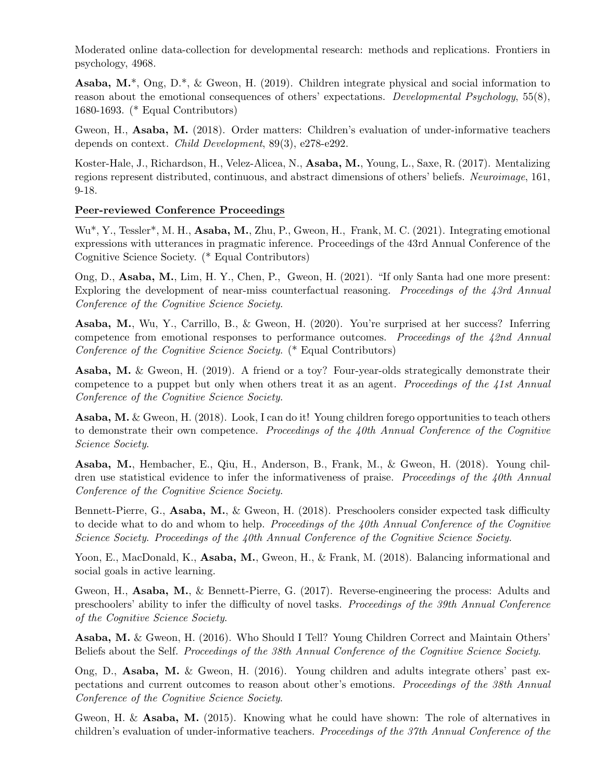Moderated online data-collection for developmental research: methods and replications. Frontiers in psychology, 4968.

**Asaba, M.\***, Ong, D.\*, & Gweon, H. (2019). Children integrate physical and social information to reason about the emotional consequences of others' expectations. *Developmental Psychology*, 55(8), 1680-1693. (\* Equal Contributors)

Gweon, H., Asaba, M. (2018). Order matters: Children's evaluation of under-informative teachers depends on context. Child Development, 89(3), e278-e292.

Koster-Hale, J., Richardson, H., Velez-Alicea, N., Asaba, M., Young, L., Saxe, R. (2017). Mentalizing regions represent distributed, continuous, and abstract dimensions of others' beliefs. Neuroimage, 161, 9-18.

### Peer-reviewed Conference Proceedings

Wu\*, Y., Tessler\*, M. H., Asaba, M., Zhu, P., Gweon, H., Frank, M. C. (2021). Integrating emotional expressions with utterances in pragmatic inference. Proceedings of the 43rd Annual Conference of the Cognitive Science Society. (\* Equal Contributors)

Ong, D., Asaba, M., Lim, H. Y., Chen, P., Gweon, H. (2021). "If only Santa had one more present: Exploring the development of near-miss counterfactual reasoning. Proceedings of the 43rd Annual Conference of the Cognitive Science Society.

Asaba, M., Wu, Y., Carrillo, B., & Gweon, H. (2020). You're surprised at her success? Inferring competence from emotional responses to performance outcomes. Proceedings of the 42nd Annual Conference of the Cognitive Science Society. (\* Equal Contributors)

Asaba, M. & Gweon, H. (2019). A friend or a toy? Four-year-olds strategically demonstrate their competence to a puppet but only when others treat it as an agent. Proceedings of the 41st Annual Conference of the Cognitive Science Society.

Asaba, M. & Gweon, H. (2018). Look, I can do it! Young children forego opportunities to teach others to demonstrate their own competence. Proceedings of the  $40th$  Annual Conference of the Cognitive Science Society.

Asaba, M., Hembacher, E., Qiu, H., Anderson, B., Frank, M., & Gweon, H. (2018). Young children use statistical evidence to infer the informativeness of praise. Proceedings of the 40th Annual Conference of the Cognitive Science Society.

Bennett-Pierre, G., Asaba, M., & Gweon, H. (2018). Preschoolers consider expected task difficulty to decide what to do and whom to help. Proceedings of the 40th Annual Conference of the Cognitive Science Society. Proceedings of the 40th Annual Conference of the Cognitive Science Society.

Yoon, E., MacDonald, K., Asaba, M., Gweon, H., & Frank, M. (2018). Balancing informational and social goals in active learning.

Gweon, H., Asaba, M., & Bennett-Pierre, G. (2017). Reverse-engineering the process: Adults and preschoolers' ability to infer the difficulty of novel tasks. Proceedings of the 39th Annual Conference of the Cognitive Science Society.

Asaba, M. & Gweon, H. (2016). Who Should I Tell? Young Children Correct and Maintain Others' Beliefs about the Self. Proceedings of the 38th Annual Conference of the Cognitive Science Society.

Ong, D., Asaba, M. & Gweon, H. (2016). Young children and adults integrate others' past expectations and current outcomes to reason about other's emotions. Proceedings of the 38th Annual Conference of the Cognitive Science Society.

Gweon, H. & Asaba, M. (2015). Knowing what he could have shown: The role of alternatives in children's evaluation of under-informative teachers. Proceedings of the 37th Annual Conference of the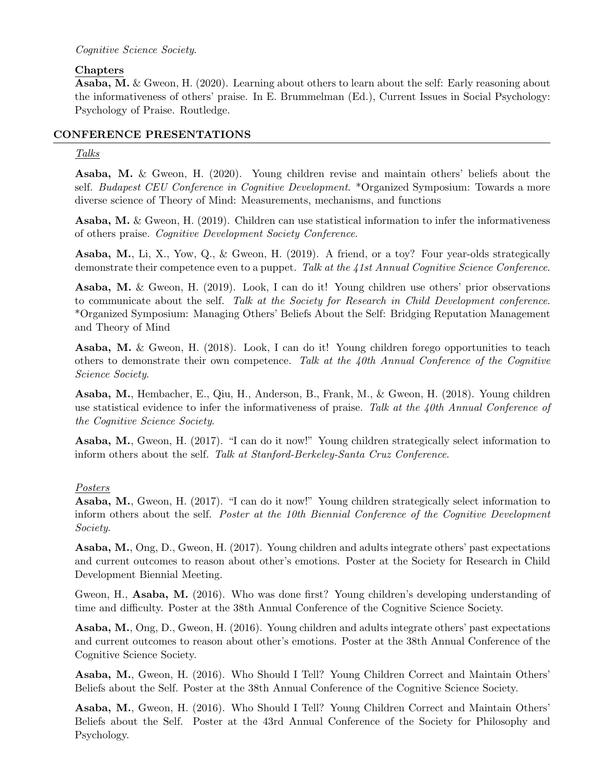## Cognitive Science Society.

# Chapters

Asaba, M. & Gweon, H. (2020). Learning about others to learn about the self: Early reasoning about the informativeness of others' praise. In E. Brummelman (Ed.), Current Issues in Social Psychology: Psychology of Praise. Routledge.

## CONFERENCE PRESENTATIONS

## Talks

Asaba, M. & Gweon, H. (2020). Young children revise and maintain others' beliefs about the self. Budapest CEU Conference in Cognitive Development. \*Organized Symposium: Towards a more diverse science of Theory of Mind: Measurements, mechanisms, and functions

Asaba, M. & Gweon, H. (2019). Children can use statistical information to infer the informativeness of others praise. Cognitive Development Society Conference.

Asaba, M., Li, X., Yow, Q., & Gweon, H. (2019). A friend, or a toy? Four year-olds strategically demonstrate their competence even to a puppet. Talk at the 41st Annual Cognitive Science Conference.

Asaba, M. & Gweon, H. (2019). Look, I can do it! Young children use others' prior observations to communicate about the self. Talk at the Society for Research in Child Development conference. \*Organized Symposium: Managing Others' Beliefs About the Self: Bridging Reputation Management and Theory of Mind

Asaba, M. & Gweon, H. (2018). Look, I can do it! Young children forego opportunities to teach others to demonstrate their own competence. Talk at the  $\mu$ 0th Annual Conference of the Cognitive Science Society.

Asaba, M., Hembacher, E., Qiu, H., Anderson, B., Frank, M., & Gweon, H. (2018). Young children use statistical evidence to infer the informativeness of praise. Talk at the 40th Annual Conference of the Cognitive Science Society.

Asaba, M., Gweon, H. (2017). "I can do it now!" Young children strategically select information to inform others about the self. Talk at Stanford-Berkeley-Santa Cruz Conference.

# Posters

Asaba, M., Gweon, H. (2017). "I can do it now!" Young children strategically select information to inform others about the self. Poster at the 10th Biennial Conference of the Cognitive Development Society.

Asaba, M., Ong, D., Gweon, H. (2017). Young children and adults integrate others' past expectations and current outcomes to reason about other's emotions. Poster at the Society for Research in Child Development Biennial Meeting.

Gweon, H., Asaba, M. (2016). Who was done first? Young children's developing understanding of time and difficulty. Poster at the 38th Annual Conference of the Cognitive Science Society.

Asaba, M., Ong, D., Gweon, H. (2016). Young children and adults integrate others' past expectations and current outcomes to reason about other's emotions. Poster at the 38th Annual Conference of the Cognitive Science Society.

Asaba, M., Gweon, H. (2016). Who Should I Tell? Young Children Correct and Maintain Others' Beliefs about the Self. Poster at the 38th Annual Conference of the Cognitive Science Society.

Asaba, M., Gweon, H. (2016). Who Should I Tell? Young Children Correct and Maintain Others' Beliefs about the Self. Poster at the 43rd Annual Conference of the Society for Philosophy and Psychology.